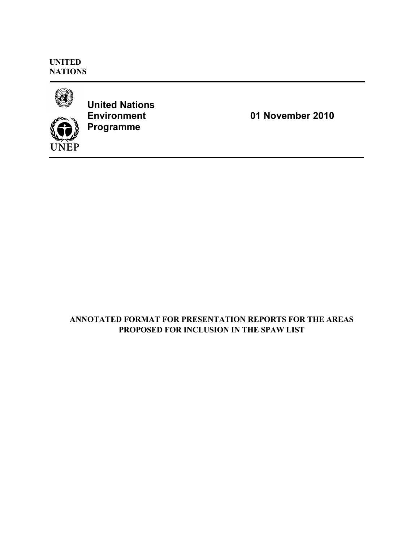**UNITED NATIONS**



**UNEP** 

**United Nations Environment Programme**

**01 November 2010**

# **ANNOTATED FORMAT FOR PRESENTATION REPORTS FOR THE AREAS PROPOSED FOR INCLUSION IN THE SPAW LIST**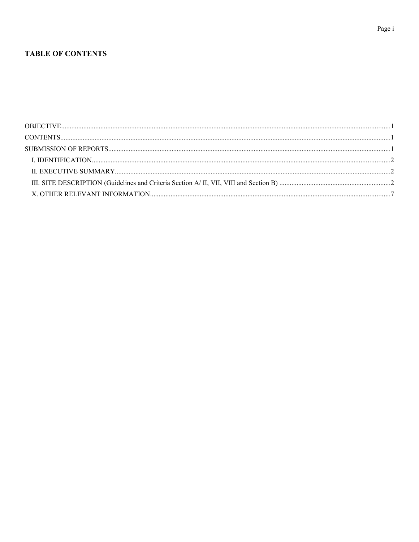## **TABLE OF CONTENTS**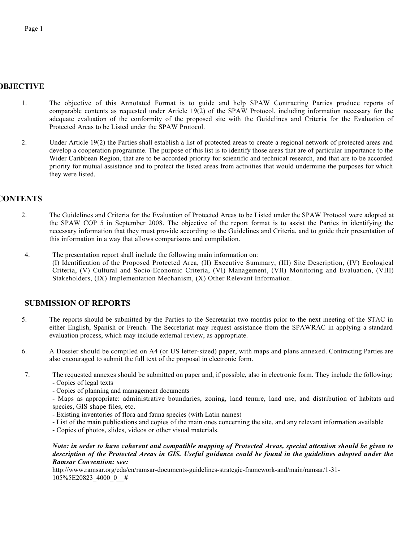## **OBJECTIVE**

- 1. The objective of this Annotated Format is to guide and help SPAW Contracting Parties produce reports of comparable contents as requested under Article 19(2) of the SPAW Protocol, including information necessary for the adequate evaluation of the conformity of the proposed site with the Guidelines and Criteria for the Evaluation of Protected Areas to be Listed under the SPAW Protocol.
- 2. Under Article 19(2) the Parties shall establish a list of protected areas to create a regional network of protected areas and develop a cooperation programme. The purpose of this list is to identify those areas that are of particular importance to the Wider Caribbean Region, that are to be accorded priority for scientific and technical research, and that are to be accorded priority for mutual assistance and to protect the listed areas from activities that would undermine the purposes for which they were listed.

## **CONTENTS**

- 2. The Guidelines and Criteria for the Evaluation of Protected Areas to be Listed under the SPAW Protocol were adopted at the SPAW COP 5 in September 2008. The objective of the report format is to assist the Parties in identifying the necessary information that they must provide according to the Guidelines and Criteria, and to guide their presentation of this information in a way that allows comparisons and compilation.
- 4. The presentation report shall include the following main information on: (I) Identification of the Proposed Protected Area, (II) Executive Summary, (III) Site Description, (IV) Ecological Criteria, (V) Cultural and Socio-Economic Criteria, (VI) Management, (VII) Monitoring and Evaluation, (VIII) Stakeholders, (IX) Implementation Mechanism, (X) Other Relevant Information.

## **SUBMISSION OF REPORTS**

- 5. The reports should be submitted by the Parties to the Secretariat two months prior to the next meeting of the STAC in either English, Spanish or French. The Secretariat may request assistance from the SPAWRAC in applying a standard evaluation process, which may include external review, as appropriate.
- 6. A Dossier should be compiled on A4 (or US letter-sized) paper, with maps and plans annexed. Contracting Parties are also encouraged to submit the full text of the proposal in electronic form.
- 7. The requested annexes should be submitted on paper and, if possible, also in electronic form. They include the following: - Copies of legal texts
	- Copies of planning and management documents
	- Maps as appropriate: administrative boundaries, zoning, land tenure, land use, and distribution of habitats and species, GIS shape files, etc.
	- Existing inventories of flora and fauna species (with Latin names)
	- List of the main publications and copies of the main ones concerning the site, and any relevant information available
	- Copies of photos, slides, videos or other visual materials.

*Note: in order to have coherent and compatible mapping of Protected Areas, special attention should be given to description of the Protected Areas in GIS. Useful guidance could be found in the guidelines adopted under the Ramsar Convention: see:*

http://www.ramsar.org/cda/en/ramsar-documents-guidelines-strategic-framework-and/main/ramsar/1-31- 105%5E20823\_4000\_0*\_\_#*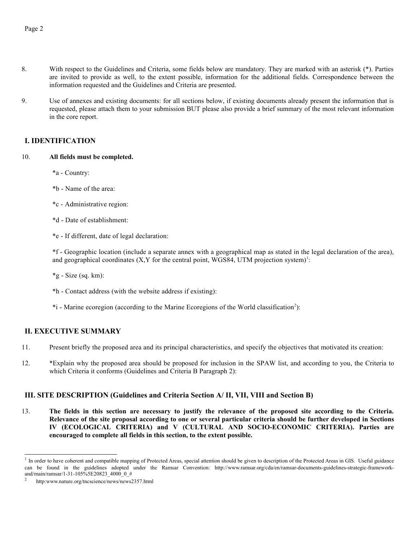- 8. With respect to the Guidelines and Criteria, some fields below are mandatory. They are marked with an asterisk (\*). Parties are invited to provide as well, to the extent possible, information for the additional fields. Correspondence between the information requested and the Guidelines and Criteria are presented.
- 9. Use of annexes and existing documents: for all sections below, if existing documents already present the information that is requested, please attach them to your submission BUT please also provide a brief summary of the most relevant information in the core report.

### **I. IDENTIFICATION**

#### 10. **All fields must be completed.**

\*a - Country:

\*b - Name of the area:

\*c - Administrative region:

\*d - Date of establishment:

\*e - If different, date of legal declaration:

\*f - Geographic location (include a separate annex with a geographical map as stated in the legal declaration of the area), and geographical coordinates  $(X, Y)$  for the central point, WGS84, UTM projection system)<sup>[1](#page-4-0)</sup>:

 $*<sub>g</sub>$  - Size (sq. km):

\*h - Contact address (with the website address if existing):

\*i - Marine ecoregion (according to the Marine Ecoregions of the World classification<sup>[2](#page-4-1)</sup>):

## **II. EXECUTIVE SUMMARY**

- 11. Present briefly the proposed area and its principal characteristics, and specify the objectives that motivated its creation:
- 12. \*Explain why the proposed area should be proposed for inclusion in the SPAW list, and according to you, the Criteria to which Criteria it conforms (Guidelines and Criteria B Paragraph 2):

### **III. SITE DESCRIPTION (Guidelines and Criteria Section A/ II, VII, VIII and Section B)**

13. **The fields in this section are necessary to justify the relevance of the proposed site according to the Criteria. Relevance of the site proposal according to one or several particular criteria should be further developed in Sections IV (ECOLOGICAL CRITERIA) and V (CULTURAL AND SOCIO-ECONOMIC CRITERIA). Parties are encouraged to complete all fields in this section, to the extent possible.**

<span id="page-4-0"></span><sup>&</sup>lt;sup>1</sup> In order to have coherent and compatible mapping of Protected Areas, special attention should be given to description of the Protected Areas in GIS. Useful guidance can be found in the guidelines adopted under the Ramsar Convention: http://www.ramsar.org/cda/en/ramsar-documents-guidelines-strategic-frameworkand/main/ramsar/1-31-105%5E20823\_4000\_0\_#

<span id="page-4-1"></span><sup>2</sup> http:www.nature.org/tncscience/news/news2357.html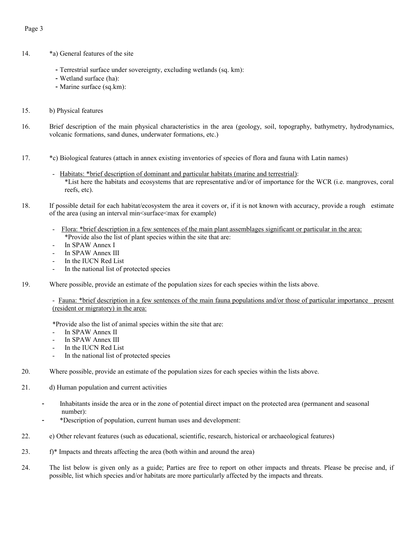### Page 3

- 14. \*a) General features of the site
	- Terrestrial surface under sovereignty, excluding wetlands (sq. km):
	- Wetland surface (ha):
	- Marine surface (sq.km):
- 15. b) Physical features
- 16. Brief description of the main physical characteristics in the area (geology, soil, topography, bathymetry, hydrodynamics, volcanic formations, sand dunes, underwater formations, etc.)
- 17. \*c) Biological features (attach in annex existing inventories of species of flora and fauna with Latin names)
	- Habitats: \*brief description of dominant and particular habitats (marine and terrestrial): \*List here the habitats and ecosystems that are representative and/or of importance for the WCR (i.e. mangroves, coral reefs, etc).
- 18. If possible detail for each habitat/ecosystem the area it covers or, if it is not known with accuracy, provide a rough estimate of the area (using an interval min<surface<max for example)
	- Flora: \*brief description in a few sentences of the main plant assemblages significant or particular in the area: \*Provide also the list of plant species within the site that are:
	- In SPAW Annex I
	- In SPAW Annex III
	- In the IUCN Red List
	- In the national list of protected species
- 19. Where possible, provide an estimate of the population sizes for each species within the lists above.

- Fauna: \*brief description in a few sentences of the main fauna populations and/or those of particular importance present (resident or migratory) in the area:

\*Provide also the list of animal species within the site that are:

- In SPAW Annex II
- In SPAW Annex III
- In the IUCN Red List
- In the national list of protected species
- 20. Where possible, provide an estimate of the population sizes for each species within the lists above.
- 21. d) Human population and current activities
	- Inhabitants inside the area or in the zone of potential direct impact on the protected area (permanent and seasonal number):
	- \*Description of population, current human uses and development:
- 22. e) Other relevant features (such as educational, scientific, research, historical or archaeological features)
- 23. f)\* Impacts and threats affecting the area (both within and around the area)
- 24. The list below is given only as a guide; Parties are free to report on other impacts and threats. Please be precise and, if possible, list which species and/or habitats are more particularly affected by the impacts and threats.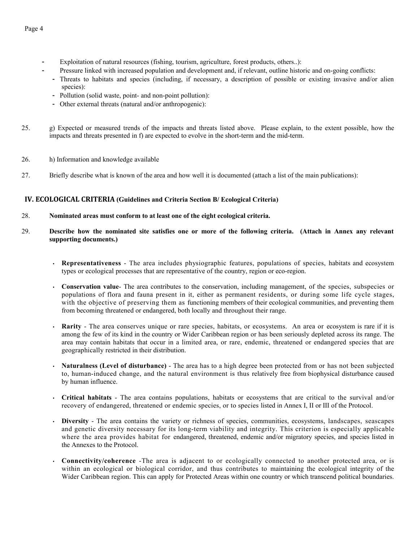- Exploitation of natural resources (fishing, tourism, agriculture, forest products, others..):
	- Pressure linked with increased population and development and, if relevant, outline historic and on-going conflicts:
	- Threats to habitats and species (including, if necessary, a description of possible or existing invasive and/or alien species):
	- Pollution (solid waste, point- and non-point pollution):
	- Other external threats (natural and/or anthropogenic):
- 25. g) Expected or measured trends of the impacts and threats listed above. Please explain, to the extent possible, how the impacts and threats presented in f) are expected to evolve in the short-term and the mid-term.
- 26. h) Information and knowledge available
- 27. Briefly describe what is known of the area and how well it is documented (attach a list of the main publications):

### **IV. ECOLOGICAL CRITERIA (Guidelines and Criteria Section B/ Ecological Criteria)**

- 28. **Nominated areas must conform to at least one of the eight ecological criteria.**
- 29. **Describe how the nominated site satisfies one or more of the following criteria. (Attach in Annex any relevant supporting documents.)**
	- **Representativeness** The area includes physiographic features, populations of species, habitats and ecosystem types or ecological processes that are representative of the country, region or eco-region.
	- **Conservation value** The area contributes to the conservation, including management, of the species, subspecies or populations of flora and fauna present in it, either as permanent residents, or during some life cycle stages, with the objective of preserving them as functioning members of their ecological communities, and preventing them from becoming threatened or endangered, both locally and throughout their range.
	- **Rarity** The area conserves unique or rare species, habitats, or ecosystems. An area or ecosystem is rare if it is among the few of its kind in the country or Wider Caribbean region or has been seriously depleted across its range. The area may contain habitats that occur in a limited area, or rare, endemic, threatened or endangered species that are geographically restricted in their distribution.
	- **Naturalness (Level of disturbance)** The area has to a high degree been protected from or has not been subjected to, human-induced change, and the natural environment is thus relatively free from biophysical disturbance caused by human influence.
	- **Critical habitats** The area contains populations, habitats or ecosystems that are critical to the survival and/or recovery of endangered, threatened or endemic species, or to species listed in Annex I, II or III of the Protocol.
	- **Diversity** The area contains the variety or richness of species, communities, ecosystems, landscapes, seascapes and genetic diversity necessary for its long-term viability and integrity. This criterion is especially applicable where the area provides habitat for endangered, threatened, endemic and/or migratory species, and species listed in the Annexes to the Protocol.
	- **Connectivity/coherence** -The area is adjacent to or ecologically connected to another protected area, or is within an ecological or biological corridor, and thus contributes to maintaining the ecological integrity of the Wider Caribbean region. This can apply for Protected Areas within one country or which transcend political boundaries.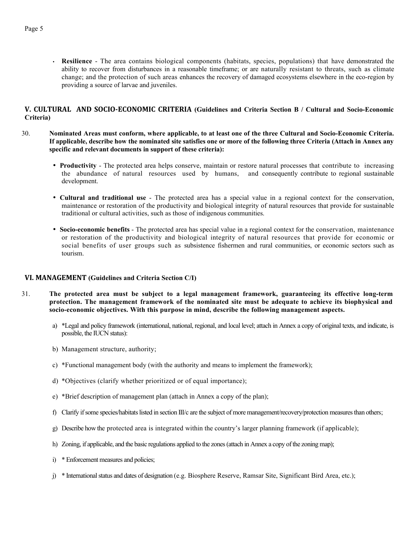• **Resilience** - The area contains biological components (habitats, species, populations) that have demonstrated the ability to recover from disturbances in a reasonable timeframe; or are naturally resistant to threats, such as climate change; and the protection of such areas enhances the recovery of damaged ecosystems elsewhere in the eco-region by providing a source of larvae and juveniles.

#### **V. CULTURAL AND SOCIO-ECONOMIC CRITERIA (Guidelines and Criteria Section B / Cultural and Socio-Economic Criteria)**

- 30. **Nominated Areas must conform, where applicable, to at least one of the three Cultural and Socio-Economic Criteria. If applicable, describe how the nominated site satisfies one or more of the following three Criteria (Attach in Annex any specific and relevant documents in support of these criteria):**
	- **Productivity** The protected area helps conserve, maintain or restore natural processes that contribute to increasing the abundance of natural resources used by humans, and consequently contribute to regional sustainable development.
	- **Cultural and traditional use** The protected area has a special value in a regional context for the conservation, maintenance or restoration of the productivity and biological integrity of natural resources that provide for sustainable traditional or cultural activities, such as those of indigenous communities.
	- **Socio-economic benefits** The protected area has special value in a regional context for the conservation, maintenance or restoration of the productivity and biological integrity of natural resources that provide for economic or social benefits of user groups such as subsistence fishermen and rural communities, or economic sectors such as tourism.

#### **VI. MANAGEMENT (Guidelines and Criteria Section C/I)**

- 31. **The protected area must be subject to a legal management framework, guaranteeing its effective long-term protection. The management framework of the nominated site must be adequate to achieve its biophysical and socio-economic objectives. With this purpose in mind, describe the following management aspects.**
	- a) \*Legal and policy framework (international, national, regional, and local level; attach in Annex a copy of original texts, and indicate, is possible, the IUCN status):
	- b) Management structure, authority;
	- c) \*Functional management body (with the authority and means to implement the framework);
	- d) \*Objectives (clarify whether prioritized or of equal importance);
	- e) \*Brief description of management plan (attach in Annex a copy of the plan);
	- f) Clarify if some species/habitats listed in section III/c are the subject of more management/recovery/protection measures than others;
	- g) Describe how the protected area is integrated within the country's larger planning framework (if applicable);
	- h) Zoning, if applicable, and the basic regulations applied to the zones (attach in Annex a copy of the zoning map);
	- i) \* Enforcement measures and policies;
	- j) \* International status and dates of designation (e.g. Biosphere Reserve, Ramsar Site, Significant Bird Area, etc.);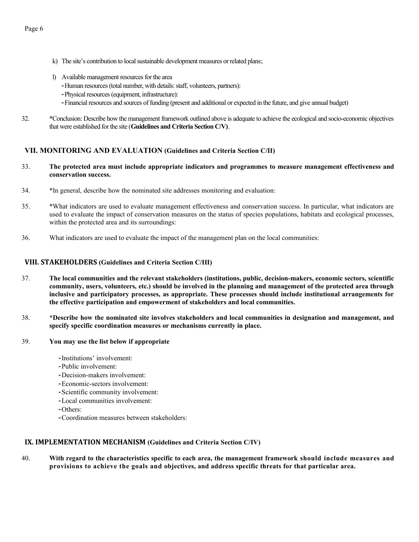- k) The site's contribution to local sustainable development measures or related plans;
- l) Available management resources for the area
	- -Human resources (total number, with details: staff, volunteers, partners):
	- -Physical resources (equipment, infrastructure):
	- -Financial resources and sources of funding (present and additional or expected in the future, and give annual budget)
- 32. \*Conclusion: Describe how the management framework outlined above is adequate to achieve the ecological and socio-economic objectives that were established for the site (**Guidelines and Criteria Section C/V)**.

### **VII. MONITORING AND EVALUATION (Guidelines and Criteria Section C/II)**

#### 33. **The protected area must include appropriate indicators and programmes to measure management effectiveness and conservation success.**

- 34. \*In general, describe how the nominated site addresses monitoring and evaluation:
- 35. \*What indicators are used to evaluate management effectiveness and conservation success. In particular, what indicators are used to evaluate the impact of conservation measures on the status of species populations, habitats and ecological processes, within the protected area and its surroundings:
- 36. What indicators are used to evaluate the impact of the management plan on the local communities:

#### **VIII. STAKEHOLDERS (Guidelines and Criteria Section C/III)**

- 37. **The local communities and the relevant stakeholders (institutions, public, decision-makers, economic sectors, scientific community, users, volunteers, etc.) should be involved in the planning and management of the protected area through inclusive and participatory processes, as appropriate. These processes should include institutional arrangements for the effective participation and empowerment of stakeholders and local communities.**
- 38. **\*Describe how the nominated site involves stakeholders and local communities in designation and management, and specify specific coordination measures or mechanisms currently in place.**

#### 39. **You may use the list below if appropriate**

- -Institutions' involvement:
- -Public involvement:
- -Decision-makers involvement:
- -Economic-sectors involvement:
- -Scientific community involvement:
- -Local communities involvement:
- -Others:
- -Coordination measures between stakeholders:

#### **IX. IMPLEMENTATION MECHANISM (Guidelines and Criteria Section C/IV)**

40. **With regard to the characteristics specific to each area, the management framework should include measures and provisions to achieve the goals and objectives, and address specific threats for that particular area.**